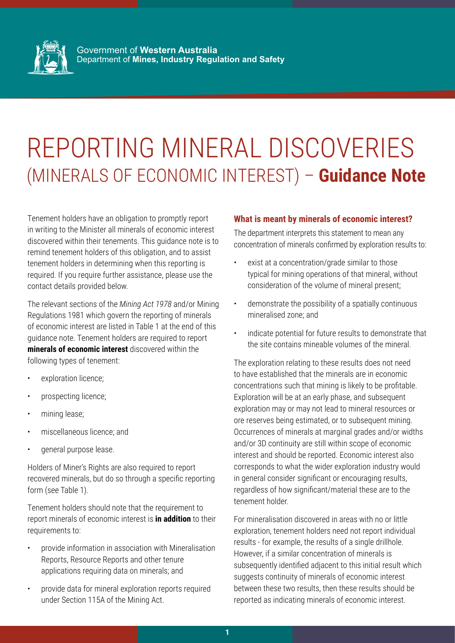

Government of **Western Australia** Department of **Mines, Industry Regulation and Safety**

# REPORTING MINERAL DISCOVERIES (MINERALS OF ECONOMIC INTEREST) – **Guidance Note**

Tenement holders have an obligation to promptly report in writing to the Minister all minerals of economic interest discovered within their tenements. This guidance note is to remind tenement holders of this obligation, and to assist tenement holders in determining when this reporting is required. If you require further assistance, please use the contact details provided below.

The relevant sections of the *Mining Act 1978* and/or Mining Regulations 1981 which govern the reporting of minerals of economic interest are listed in Table 1 at the end of this guidance note. Tenement holders are required to report **minerals of economic interest** discovered within the following types of tenement:

- exploration licence;
- prospecting licence;
- mining lease;
- miscellaneous licence; and
- general purpose lease.

Holders of Miner's Rights are also required to report recovered minerals, but do so through a specific reporting form (see Table 1).

Tenement holders should note that the requirement to report minerals of economic interest is **in addition** to their requirements to:

- provide information in association with Mineralisation Reports, Resource Reports and other tenure applications requiring data on minerals; and
- provide data for mineral exploration reports required under Section 115A of the Mining Act.

### **What is meant by minerals of economic interest?**

The department interprets this statement to mean any concentration of minerals confirmed by exploration results to:

- exist at a concentration/grade similar to those typical for mining operations of that mineral, without consideration of the volume of mineral present;
- demonstrate the possibility of a spatially continuous mineralised zone; and
- indicate potential for future results to demonstrate that the site contains mineable volumes of the mineral.

The exploration relating to these results does not need to have established that the minerals are in economic concentrations such that mining is likely to be profitable. Exploration will be at an early phase, and subsequent exploration may or may not lead to mineral resources or ore reserves being estimated, or to subsequent mining. Occurrences of minerals at marginal grades and/or widths and/or 3D continuity are still within scope of economic interest and should be reported. Economic interest also corresponds to what the wider exploration industry would in general consider significant or encouraging results, regardless of how significant/material these are to the tenement holder.

For mineralisation discovered in areas with no or little exploration, tenement holders need not report individual results - for example, the results of a single drillhole. However, if a similar concentration of minerals is subsequently identified adjacent to this initial result which suggests continuity of minerals of economic interest between these two results, then these results should be reported as indicating minerals of economic interest.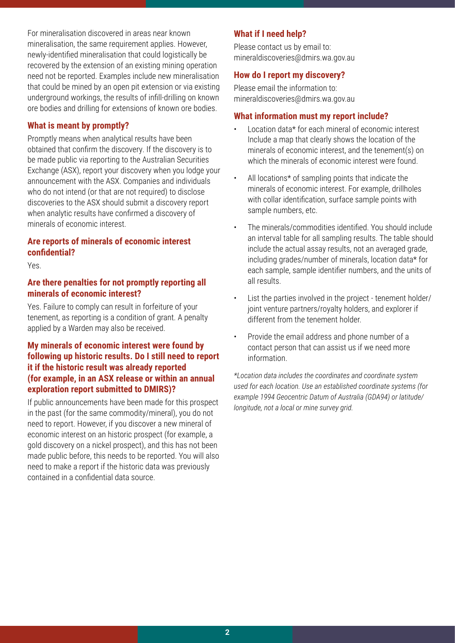For mineralisation discovered in areas near known mineralisation, the same requirement applies. However, newly-identified mineralisation that could logistically be recovered by the extension of an existing mining operation need not be reported. Examples include new mineralisation that could be mined by an open pit extension or via existing underground workings, the results of infill-drilling on known ore bodies and drilling for extensions of known ore bodies.

# **What is meant by promptly?**

Promptly means when analytical results have been obtained that confirm the discovery. If the discovery is to be made public via reporting to the Australian Securities Exchange (ASX), report your discovery when you lodge your announcement with the ASX. Companies and individuals who do not intend (or that are not required) to disclose discoveries to the ASX should submit a discovery report when analytic results have confirmed a discovery of minerals of economic interest.

# **Are reports of minerals of economic interest confidential?**

Yes.

## **Are there penalties for not promptly reporting all minerals of economic interest?**

Yes. Failure to comply can result in forfeiture of your tenement, as reporting is a condition of grant. A penalty applied by a Warden may also be received.

# **My minerals of economic interest were found by following up historic results. Do I still need to report it if the historic result was already reported (for example, in an ASX release or within an annual exploration report submitted to DMIRS)?**

If public announcements have been made for this prospect in the past (for the same commodity/mineral), you do not need to report. However, if you discover a new mineral of economic interest on an historic prospect (for example, a gold discovery on a nickel prospect), and this has not been made public before, this needs to be reported. You will also need to make a report if the historic data was previously contained in a confidential data source.

# **What if I need help?**

Please contact us by email to: mineraldiscoveries@dmirs.wa.gov.au

# **How do I report my discovery?**

Please email the information to: mineraldiscoveries@dmirs.wa.gov.au

## **What information must my report include?**

- Location data\* for each mineral of economic interest Include a map that clearly shows the location of the minerals of economic interest, and the tenement(s) on which the minerals of economic interest were found.
- All locations\* of sampling points that indicate the minerals of economic interest. For example, drillholes with collar identification, surface sample points with sample numbers, etc.
- The minerals/commodities identified. You should include an interval table for all sampling results. The table should include the actual assay results, not an averaged grade, including grades/number of minerals, location data\* for each sample, sample identifier numbers, and the units of all results.
- List the parties involved in the project tenement holder/ joint venture partners/royalty holders, and explorer if different from the tenement holder.
- Provide the email address and phone number of a contact person that can assist us if we need more information.

*\*Location data includes the coordinates and coordinate system used for each location. Use an established coordinate systems (for example 1994 Geocentric Datum of Australia (GDA94) or latitude/ longitude, not a local or mine survey grid.*